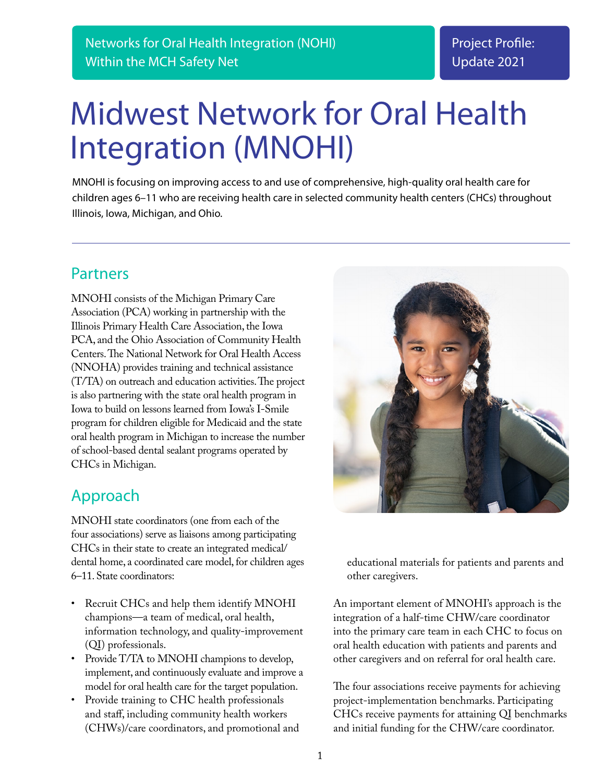# Midwest Network for Oral Health Integration (MNOHI)

MNOHI is focusing on improving access to and use of comprehensive, high-quality oral health care for children ages 6–11 who are receiving health care in selected community health centers (CHCs) throughout Illinois, Iowa, Michigan, and Ohio.

## Partners

MNOHI consists of the Michigan Primary Care Association (PCA) working in partnership with the Illinois Primary Health Care Association, the Iowa PCA, and the Ohio Association of Community Health Centers. The National Network for Oral Health Access (NNOHA) provides training and technical assistance (T/TA) on outreach and education activities. The project is also partnering with the state oral health program in Iowa to build on lessons learned from Iowa's I-Smile program for children eligible for Medicaid and the state oral health program in Michigan to increase the number of school-based dental sealant programs operated by CHCs in Michigan.

# Approach

MNOHI state coordinators (one from each of the four associations) serve as liaisons among participating CHCs in their state to create an integrated medical/ dental home, a coordinated care model, for children ages 6–11. State coordinators:

- Recruit CHCs and help them identify MNOHI champions—a team of medical, oral health, information technology, and quality-improvement (QI) professionals.
- Provide T/TA to MNOHI champions to develop, implement, and continuously evaluate and improve a model for oral health care for the target population.
- Provide training to CHC health professionals and staff, including community health workers (CHWs)/care coordinators, and promotional and



educational materials for patients and parents and other caregivers.

An important element of MNOHI's approach is the integration of a half-time CHW/care coordinator into the primary care team in each CHC to focus on oral health education with patients and parents and other caregivers and on referral for oral health care.

The four associations receive payments for achieving project-implementation benchmarks. Participating CHCs receive payments for attaining QI benchmarks and initial funding for the CHW/care coordinator.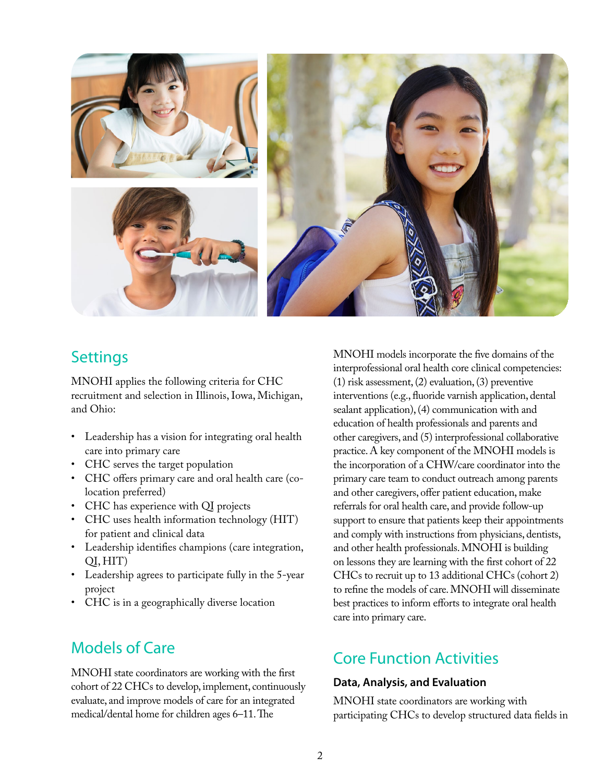

## **Settings**

MNOHI applies the following criteria for CHC recruitment and selection in Illinois, Iowa, Michigan, and Ohio:

- Leadership has a vision for integrating oral health care into primary care
- CHC serves the target population
- CHC offers primary care and oral health care (colocation preferred)
- CHC has experience with QI projects
- CHC uses health information technology (HIT) for patient and clinical data
- Leadership identifies champions (care integration, QI, HIT)
- Leadership agrees to participate fully in the 5-year project
- CHC is in a geographically diverse location

# Models of Care

MNOHI state coordinators are working with the first cohort of 22 CHCs to develop, implement, continuously evaluate, and improve models of care for an integrated medical/dental home for children ages 6–11. The

MNOHI models incorporate the five domains of the interprofessional oral health core clinical competencies: (1) risk assessment, (2) evaluation, (3) preventive interventions (e.g., fluoride varnish application, dental sealant application), (4) communication with and education of health professionals and parents and other caregivers, and (5) interprofessional collaborative practice. A key component of the MNOHI models is the incorporation of a CHW/care coordinator into the primary care team to conduct outreach among parents and other caregivers, offer patient education, make referrals for oral health care, and provide follow-up support to ensure that patients keep their appointments and comply with instructions from physicians, dentists, and other health professionals. MNOHI is building on lessons they are learning with the first cohort of 22 CHCs to recruit up to 13 additional CHCs (cohort 2) to refine the models of care. MNOHI will disseminate best practices to inform efforts to integrate oral health care into primary care.

# Core Function Activities

#### **Data, Analysis, and Evaluation**

MNOHI state coordinators are working with participating CHCs to develop structured data fields in